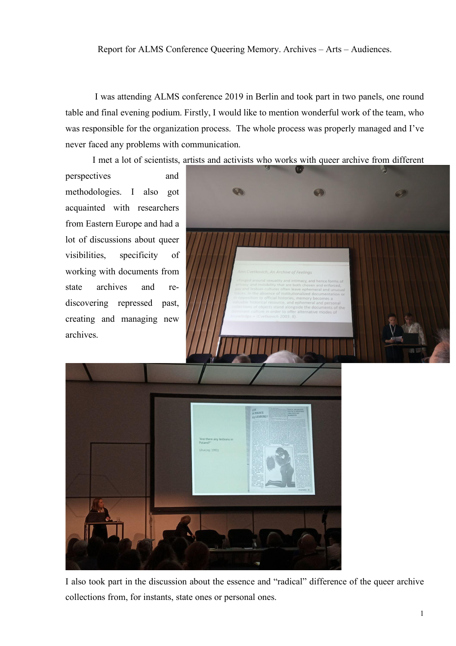I was attending ALMS conference 2019 in Berlin and took part in two panels, one round table and final evening podium. Firstly, I would like to mention wonderful work of the team, who was responsible for the organization process. The whole process was properly managed and I've never faced any problems with communication.

I met a lot of scientists, artists and activists who works with queer archive from different

perspectives and methodologies. I also got acquainted with researchers from Eastern Europe and had a lot of discussions about queer visibilities, specificity of working with documents from state archives and rediscovering repressed past, creating and managing new archives.



I also took part in the discussion about the essence and "radical" difference of the queer archive collections from, for instants, state ones or personal ones.